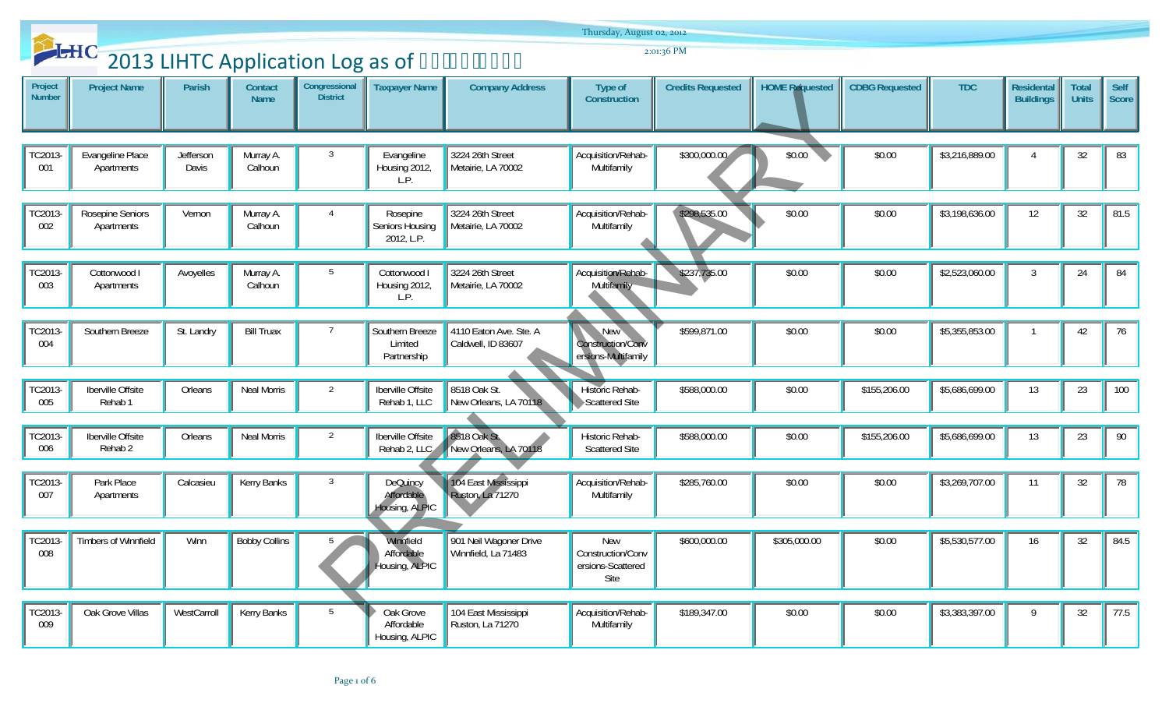|                          |                                               |                    |                        |                                  |                                                 |                                               | Thursday, August 02, 2012                                    |                          |                       |                       |                |                                       |                              |               |
|--------------------------|-----------------------------------------------|--------------------|------------------------|----------------------------------|-------------------------------------------------|-----------------------------------------------|--------------------------------------------------------------|--------------------------|-----------------------|-----------------------|----------------|---------------------------------------|------------------------------|---------------|
|                          | 2013 LIHTC Application Log as of 2: 124 14234 |                    |                        |                                  |                                                 |                                               |                                                              | 2:01:36 PM               |                       |                       |                |                                       |                              |               |
| Project<br><b>Number</b> | <b>Project Name</b>                           | Parish             | Contact<br><b>Name</b> | Congressional<br><b>District</b> | <b>Taxpayer Name</b>                            | <b>Company Address</b>                        | Type of<br>Construction                                      | <b>Credits Requested</b> | <b>HOME Requested</b> | <b>CDBG Requested</b> | <b>TDC</b>     | <b>Residental</b><br><b>Buildings</b> | <b>Total</b><br><b>Units</b> | Self<br>Score |
| TC2013-<br>001           | Evangeline Place<br>Apartments                | Jefferson<br>Davis | Murray A.<br>Calhoun   | $\mathbf{3}$                     | Evangeline<br>Housing 2012,<br>L.P.             | 3224 26th Street<br>Metairie, LA 70002        | Acquisition/Rehab-<br>Multifamily                            | \$300,000.00             | \$0.00                | \$0.00                | \$3,216,889.00 |                                       | 32                           | 83            |
| TC2013-<br>002           | Rosepine Seniors<br>Apartments                | Vernon             | Murray A.<br>Calhoun   | $\overline{4}$                   | Rosepine<br>Seniors Housing<br>2012, L.P.       | 3224 26th Street<br>Metairie, LA 70002        | Acquisition/Rehab-<br>Multifamily                            | \$298,535.00             | \$0.00                | \$0.00                | \$3,198,636.00 | $12 \overline{ }$                     | 32                           | 81.5          |
| TC2013-<br>003           | Cottonwood<br>Apartments                      | Avoyelles          | Murray A.<br>Calhoun   | 5                                | Cottonwood I<br>Housing 2012,<br>L.P.           | 3224 26th Street<br>Metairie, LA 70002        | Acquisition/Rehab-<br>Multifamily                            | \$237,735.00             | \$0.00                | \$0.00                | \$2,523,060.00 | 3                                     | 24                           | 84            |
| TC2013-<br>004           | Southern Breeze                               | St. Landry         | <b>Bill Truax</b>      | $\overline{7}$                   | Southern Breeze<br>Limited<br>Partnership       | 4110 Eaton Ave. Ste. A<br>Caldwell, ID 83607  | New<br>Construction/Conv<br>ersions-Multifamily              | \$599,871.00             | \$0.00                | \$0.00                | \$5,355,853.00 |                                       | 42                           | 76            |
| TC2013-<br>005           | Iberville Offsite<br>Rehab <sub>1</sub>       | Orleans            | Neal Morris            | 2                                | Iberville Offsite<br>Rehab 1, LLC               | 8518 Oak St.<br>New Orleans, LA 70118         | <b>Historic Rehab-</b><br>Scattered Site                     | \$588,000.00             | \$0.00                | \$155,206.00          | \$5,686,699.00 | 13                                    | 23                           | 100           |
| TC2013-<br>006           | Iberville Offsite<br>Rehab <sub>2</sub>       | Orleans            | Neal Morris            | $\overline{2}$                   | Iberville Offsite<br>Rehab 2, LLC               | 8518 Oak St.<br>New Orleans, LA 70118         | Historic Rehab-<br><b>Scattered Site</b>                     | \$588,000.00             | \$0.00                | \$155,206.00          | \$5,686,699.00 | 13                                    | 23                           | 90            |
| TC2013-<br>007           | Park Place<br>Apartments                      | Calcasieu          | Kerry Banks            | $\mathbf{3}$                     | <b>DeQuincy</b><br>Affordable<br>Housing, ALPIC | 104 East Mississippi<br>Ruston, La 71270      | Acquisition/Rehab-<br>Multifamily                            | \$285,760.00             | \$0.00                | \$0.00                | \$3,269,707.00 | 11                                    | 32                           | 78            |
| 008                      | TC2013-Timbers of Winnfield                   | Winn               | <b>Bobby Collins</b>   | $5\sqrt{11}$                     | Winnfield<br>Affordable<br>Housing, ALPIC       | 901 Neil Wagoner Drive<br>Winnfield, La 71483 | <b>New</b><br>Construction/Conv<br>ersions-Scattered<br>Site | \$600,000.00             | \$305,000.00          | \$0.00                | \$5,530,577.00 | 16                                    | 32                           | $\sqrt{84.5}$ |
| TC2013-<br>009           | Oak Grove Villas                              | WestCarroll        | Kerry Banks            | 5                                | Oak Grove<br>Affordable<br>Housing, ALPIC       | 104 East Mississippi<br>Ruston, La 71270      | Acquisition/Rehab-<br>Multifamily                            | \$189,347.00             | \$0.00                | \$0.00                | \$3,383,397.00 | 9                                     | 32                           | 77.5          |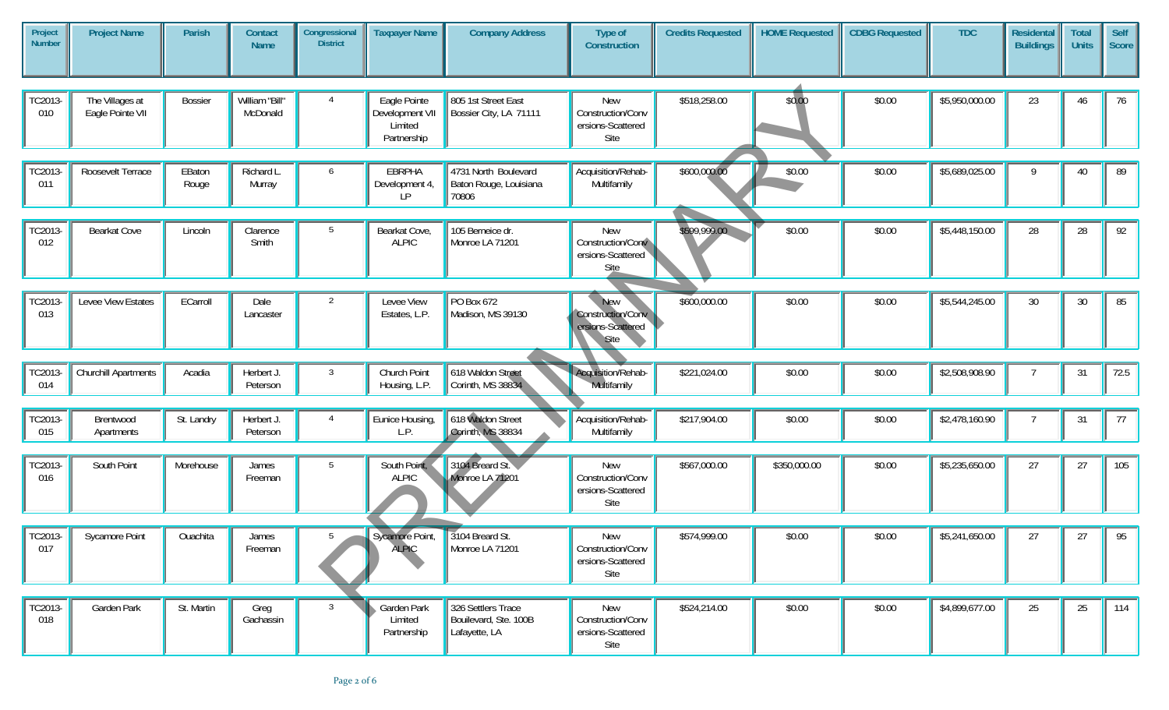| Project<br><b>Number</b> | <b>Project Name</b>                 | <b>Parish</b>   | Contact<br><b>Name</b>     | Congressional<br><b>District</b> | <b>Taxpayer Name</b>                                      | <b>Company Address</b>                                       | Type of<br>Construction                                             | <b>Credits Requested</b> | <b>HOME Requested</b> | <b>CDBG Requested</b> | <b>TDC</b>     | <b>Residental</b><br><b>Buildings</b> | <b>Total</b><br><b>Units</b> | Self<br>Score |
|--------------------------|-------------------------------------|-----------------|----------------------------|----------------------------------|-----------------------------------------------------------|--------------------------------------------------------------|---------------------------------------------------------------------|--------------------------|-----------------------|-----------------------|----------------|---------------------------------------|------------------------------|---------------|
|                          |                                     |                 |                            |                                  |                                                           |                                                              |                                                                     |                          |                       |                       |                |                                       |                              |               |
| TC2013-<br>010           | The Villages at<br>Eagle Pointe VII | <b>Bossier</b>  | William "Bill"<br>McDonald | 4                                | Eagle Pointe<br>Development VII<br>Limited<br>Partnership | 805 1st Street East<br>Bossier City, LA 71111                | <b>New</b><br>Construction/Conv<br>ersions-Scattered<br>Site        | \$518,258.00             | \$0.00                | \$0.00                | \$5,950,000.00 | 23                                    | 46                           | 76            |
|                          |                                     |                 |                            |                                  |                                                           |                                                              |                                                                     |                          |                       |                       |                |                                       |                              |               |
| TC2013-<br>011           | Roosevelt Terrace                   | EBaton<br>Rouge | Richard L<br>Murray        | 6                                | EBRPHA<br>Development 4,<br>LP.                           | 4731 North Boulevard<br>Baton Rouge, Louisiana<br>70806      | Acquisition/Rehab-<br>Multifamily                                   | \$600,000.00             | \$0.00                | \$0.00                | \$5,689,025.00 | 9                                     | 40                           | 89            |
|                          |                                     |                 |                            |                                  |                                                           |                                                              |                                                                     |                          |                       |                       |                |                                       |                              |               |
| TC2013-<br>012           | Bearkat Cove                        | Lincoln         | Clarence<br>Smith          | 5                                | Bearkat Cove,<br><b>ALPIC</b>                             | 105 Berneice dr.<br>Monroe LA 71201                          | <b>New</b><br>Construction/Conv<br>ersions-Scattered<br>Site        | \$599,999.00             | \$0.00                | \$0.00                | \$5,448,150.00 | 28                                    | 28                           | 92            |
|                          |                                     |                 |                            |                                  |                                                           |                                                              |                                                                     |                          |                       |                       |                |                                       |                              |               |
| TC2013-<br>013           | Levee View Estates                  | ECarroll        | Dale<br>Lancaster          | $\overline{2}$                   | Levee View<br>Estates, L.P.                               | PO Box 672<br>Madison, MS 39130                              | <b>New</b><br>Construction/Conv<br>ersions-Scattered<br><b>Site</b> | \$600,000.00             | \$0.00                | \$0.00                | \$5,544,245.00 | 30                                    | 30                           | 85            |
|                          |                                     |                 |                            |                                  |                                                           |                                                              |                                                                     |                          |                       |                       |                |                                       |                              |               |
| TC2013-<br>014           | Churchill Apartments                | Acadia          | Herbert J.<br>Peterson     | 3                                | Church Point<br>Housing, L.P.                             | 618 Waldon Street<br>Corinth, MS 38834                       | Acquisition/Rehab-<br>Multifamily                                   | \$221,024.00             | \$0.00                | \$0.00                | \$2,508,908.90 |                                       | 31                           | 72.5          |
|                          |                                     |                 |                            |                                  |                                                           |                                                              |                                                                     |                          |                       |                       |                |                                       |                              |               |
| TC2013-<br>015           | Brentwood<br>Apartments             | St. Landry      | Herbert J.<br>Peterson     | $\overline{4}$                   | Eunice Housing,<br>L.P.                                   | 618 Waldon Street<br>Corinth, MS 38834                       | Acquisition/Rehab-<br>Multifamily                                   | \$217,904.00             | \$0.00                | \$0.00                | \$2,478,160.90 | $\overline{7}$                        | 31                           | 77            |
|                          |                                     |                 |                            |                                  |                                                           |                                                              |                                                                     |                          |                       |                       |                |                                       |                              |               |
| TC2013-<br>016           | South Point                         | Morehouse       | James<br>Freeman           | 5                                | South Point,<br><b>ALPIC</b>                              | 3104 Breard St.<br>Monroe LA 71201                           | New<br>Construction/Conv<br>ersions-Scattered<br>Site               | \$567,000.00             | \$350,000.00          | \$0.00                | \$5,235,650.00 | 27                                    | 27                           | 105           |
|                          |                                     |                 |                            |                                  |                                                           |                                                              |                                                                     |                          |                       |                       |                |                                       |                              |               |
| TC2013-<br>017           | <b>Sycamore Point</b>               | Ouachita        | James<br>Freeman           | 5                                | Sycamore Point,<br><b>ALPIC</b>                           | 3104 Breard St.<br>Monroe LA 71201                           | <b>New</b><br>Construction/Conv<br>ersions-Scattered<br>Site        | \$574,999.00             | \$0.00                | \$0.00                | \$5,241,650.00 | 27                                    | 27                           | 95            |
|                          |                                     |                 |                            |                                  |                                                           |                                                              |                                                                     |                          |                       |                       |                |                                       |                              |               |
| TC2013-<br>018           | Garden Park                         | St. Martin      | Greg<br>Gachassin          | $\overline{3}$                   | Garden Park<br>Limited<br>Partnership                     | 326 Settlers Trace<br>Bouilevard, Ste. 100B<br>Lafayette, LA | New<br>Construction/Conv<br>ersions-Scattered<br>Site               | \$524,214.00             | \$0.00                | \$0.00                | \$4,899,677.00 | 25                                    | 25                           | 114           |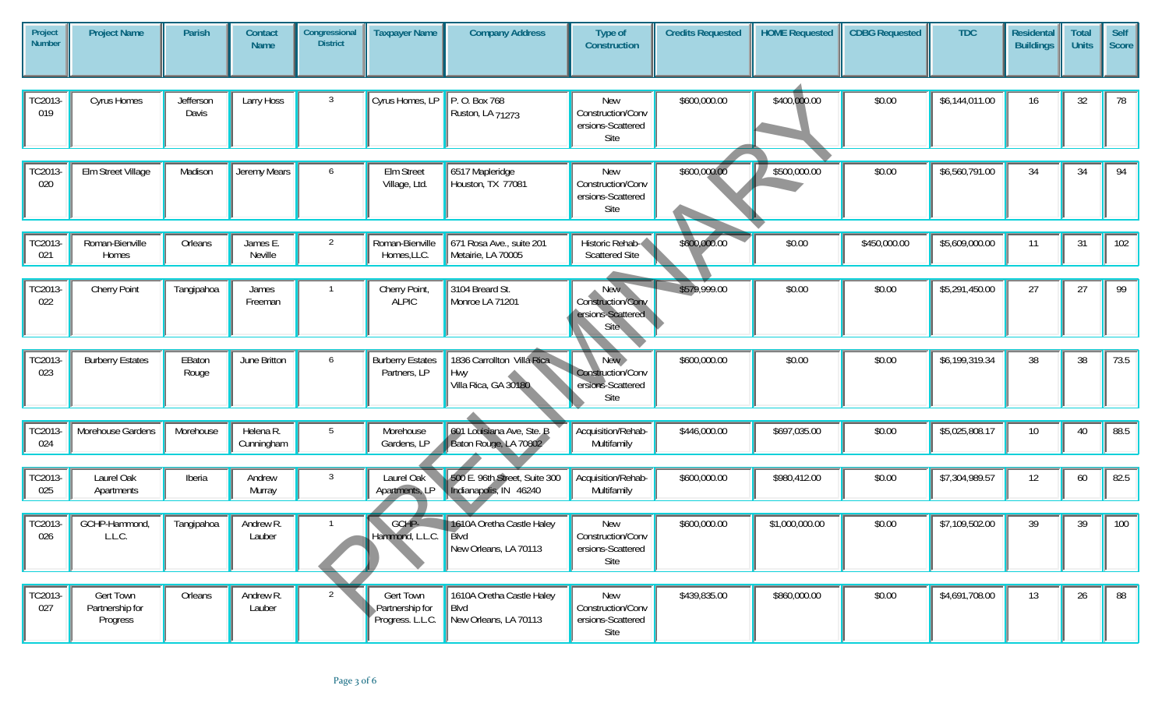| Project<br><b>Number</b> | <b>Project Name</b>                      | Parish             | Contact<br><b>Name</b>  | Congressional<br><b>District</b> | <b>Taxpayer Name</b>                                    | <b>Company Address</b>                                            | Type of<br>Construction                                             | <b>Credits Requested</b> | <b>HOME Requested</b> | <b>CDBG Requested</b> | <b>TDC</b>     | <b>Residental</b><br><b>Buildings</b> | <b>Total</b><br><b>Units</b> | Self<br>Score |
|--------------------------|------------------------------------------|--------------------|-------------------------|----------------------------------|---------------------------------------------------------|-------------------------------------------------------------------|---------------------------------------------------------------------|--------------------------|-----------------------|-----------------------|----------------|---------------------------------------|------------------------------|---------------|
|                          |                                          |                    |                         |                                  |                                                         |                                                                   |                                                                     |                          |                       |                       |                |                                       |                              |               |
| TC2013-<br>019           | Cyrus Homes                              | Jefferson<br>Davis | Larry Hoss              | $\mathbf{3}$                     | Cyrus Homes, LP                                         | P. O. Box 768<br>Ruston, LA 71273                                 | New<br>Construction/Conv<br>ersions-Scattered<br>Site               | \$600,000.00             | \$400,000.00          | \$0.00                | \$6,144,011.00 | 16                                    | 32                           | 78            |
|                          |                                          |                    |                         |                                  |                                                         |                                                                   |                                                                     |                          |                       |                       |                |                                       |                              |               |
| TC2013-<br>020           | Elm Street Village                       | Madison            | Jeremy Mears            | 6                                | Elm Street<br>Village, Ltd.                             | 6517 Mapleridge<br>Houston, TX 77081                              | <b>New</b><br>Construction/Conv<br>ersions-Scattered<br>Site        | \$600,000.00             | \$500,000.00          | \$0.00                | \$6,560,791.00 | 34                                    | 34                           | 94            |
|                          |                                          |                    |                         |                                  |                                                         |                                                                   |                                                                     |                          |                       |                       |                |                                       |                              |               |
| TC2013-<br>021           | Roman-Bienville<br>Homes                 | Orleans            | James E.<br>Neville     | $\overline{2}$                   | Roman-Bienville<br>Homes, LLC.                          | 671 Rosa Ave., suite 201<br>Metairie, LA 70005                    | Historic Rehab-<br><b>Scattered Site</b>                            | \$600,000.00             | \$0.00                | \$450,000.00          | \$5,609,000.00 | 11                                    | 31                           | 102           |
|                          |                                          |                    |                         |                                  |                                                         |                                                                   |                                                                     |                          |                       |                       |                |                                       |                              |               |
| TC2013-<br>022           | Cherry Point                             | Tangipahoa         | James<br>Freeman        | $\mathbf{1}$                     | Cherry Point,<br><b>ALPIC</b>                           | 3104 Breard St.<br>Monroe LA 71201                                | <b>New</b><br>Construction/Conv<br>ersions-Scattered<br><b>Site</b> | \$579,999.00             | \$0.00                | \$0.00                | \$5,291,450.00 | 27                                    | 27                           | 99            |
|                          |                                          |                    |                         |                                  |                                                         |                                                                   |                                                                     |                          |                       |                       |                |                                       |                              |               |
| TC2013-<br>023           | <b>Burberry Estates</b>                  | EBaton<br>Rouge    | June Britton            | 6                                | <b>Burberry Estates</b><br>Partners, LP                 | 1836 Carrollton Villa Rica<br>Hwy<br>Villa Rica, GA 30180         | New ><br>Construction/Conv<br>ersions-Scattered<br>Site             | \$600,000.00             | \$0.00                | \$0.00                | \$6,199,319.34 | 38                                    | 38                           | 73.5          |
|                          |                                          |                    |                         |                                  |                                                         |                                                                   |                                                                     |                          |                       |                       |                |                                       |                              |               |
| TC2013-<br>024           | Morehouse Gardens                        | Morehouse          | Helena R.<br>Cunningham | 5                                | Morehouse<br>Gardens, LP                                | 601 Louisiana Ave, Ste. B<br>Baton Rouge, LA 70802                | Acquisition/Rehab-<br>Multifamily                                   | \$446,000.00             | \$697,035.00          | \$0.00                | \$5,025,808.17 | 10 <sup>°</sup>                       | 40                           | 88.5          |
|                          |                                          |                    |                         |                                  |                                                         |                                                                   |                                                                     |                          |                       |                       |                |                                       |                              |               |
| TC2013-<br>025           | Laurel Oak<br>Apartments                 | Iberia             | Andrew<br>Murray        | $\mathbf{3}$                     | Laurel Oak<br>Apartments, LP                            | 500 E. 96th Street, Suite 300<br>Indianapolis, IN 46240           | Acquisition/Rehab-<br>Multifamily                                   | \$600,000.00             | \$980,412.00          | \$0.00                | \$7,304,989.57 | 12                                    | 60                           | 82.5          |
|                          |                                          |                    |                         |                                  |                                                         |                                                                   |                                                                     |                          |                       |                       |                |                                       |                              |               |
| TC2013-<br>026           | GCHP-Hammond,<br>L.L.C.                  | Tangipahoa         | Andrew R.<br>Lauber     |                                  | GCHP-<br>Hammond, L.L.C.                                | 1610A Oretha Castle Haley<br>Blvd<br>New Orleans, LA 70113        | New<br>Construction/Conv<br>ersions-Scattered<br>Site               | \$600,000.00             | \$1,000,000.00        | \$0.00                | \$7,109,502.00 | 39                                    | 39                           | 100           |
|                          |                                          |                    |                         |                                  |                                                         |                                                                   |                                                                     |                          |                       |                       |                |                                       |                              |               |
| TC2013-<br>027           | Gert Town<br>Partnership for<br>Progress | Orleans            | Andrew R.<br>Lauber     | 2                                | <b>Gert Town</b><br>Partnership for<br>Progress. L.L.C. | 1610A Oretha Castle Haley<br><b>Blvd</b><br>New Orleans, LA 70113 | New<br>Construction/Conv<br>ersions-Scattered<br>Site               | \$439,835.00             | \$860,000.00          | \$0.00                | \$4,691,708.00 | 13                                    | 26                           | 88            |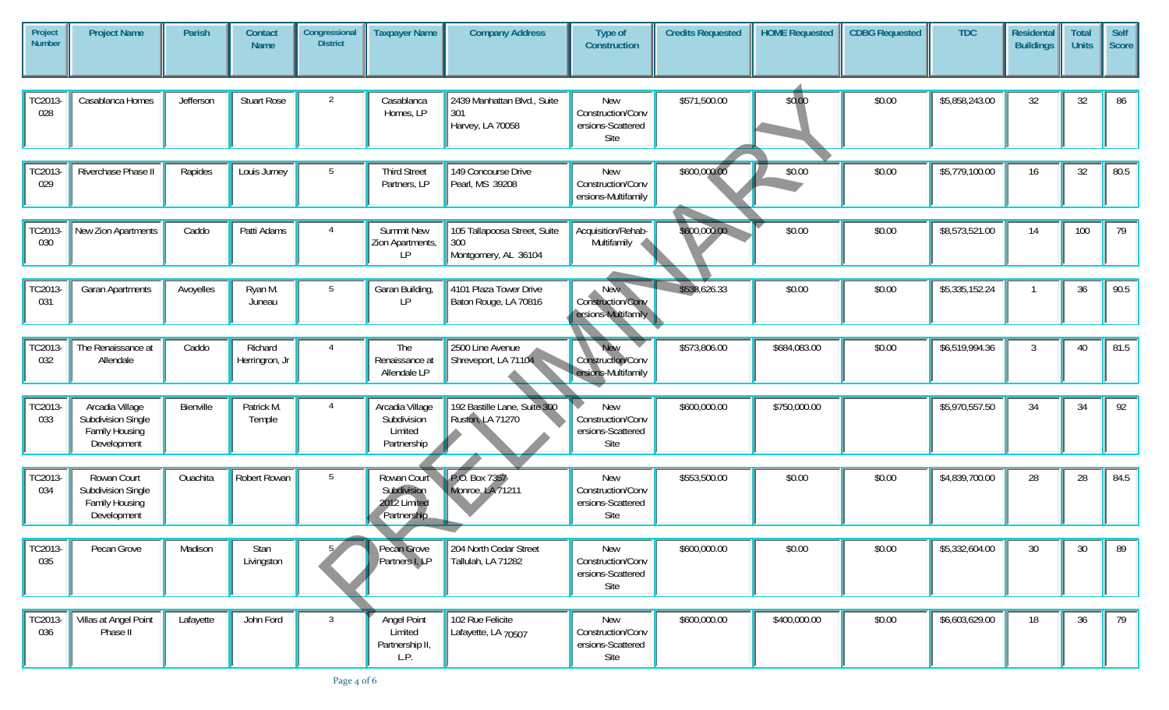| Project<br><b>Number</b> | <b>Project Name</b>                                                    | Parish    | Contact<br><b>Name</b>    | Congressional<br><b>District</b> | <b>Taxpayer Name</b>                                      | <b>Company Address</b>                                      | Type of<br>Construction                                | <b>Credits Requested</b> | <b>HOME Requested</b> | <b>CDBG Requested</b> | <b>TDC</b>     | <b>Residental</b><br><b>Buildings</b> | <b>Total</b><br><b>Units</b> | Self<br>Score |
|--------------------------|------------------------------------------------------------------------|-----------|---------------------------|----------------------------------|-----------------------------------------------------------|-------------------------------------------------------------|--------------------------------------------------------|--------------------------|-----------------------|-----------------------|----------------|---------------------------------------|------------------------------|---------------|
|                          |                                                                        |           |                           |                                  |                                                           |                                                             |                                                        |                          |                       |                       |                |                                       |                              |               |
| TC2013-<br>028           | Casablanca Homes                                                       | Jefferson | <b>Stuart Rose</b>        | 2                                | Casablanca<br>Homes, LP                                   | 2439 Manhattan Blvd., Suite<br>301<br>Harvey, LA 70058      | New<br>Construction/Conv<br>ersions-Scattered<br>Site  | \$571,500.00             | \$0.00                | \$0.00                | \$5,858,243.00 | 32                                    | 32                           | 86            |
|                          |                                                                        |           |                           |                                  |                                                           |                                                             |                                                        |                          |                       |                       |                |                                       |                              |               |
| TC2013-<br>029           | Riverchase Phase II                                                    | Rapides   | Louis Jurney              | 5                                | <b>Third Street</b><br>Partners, LP                       | 149 Concourse Drive<br>Pearl, MS 39208                      | <b>New</b><br>Construction/Conv<br>ersions-Multifamily | \$600,000.00             | \$0.00                | \$0.00                | \$5,779,100.00 | 16                                    | 32                           | 80.5          |
|                          |                                                                        |           |                           |                                  |                                                           |                                                             |                                                        |                          |                       |                       |                |                                       |                              |               |
| TC2013-<br>030           | New Zion Apartments                                                    | Caddo     | Patti Adams               | 4                                | <b>Summit New</b><br>Zion Apartments,<br>LP.              | 105 Tallapoosa Street, Suite<br>300<br>Montgomery, AL 36104 | Acquisition/Rehab-<br>Multifamily                      | \$600,000.00             | \$0.00                | \$0.00                | \$8,573,521.00 | 14                                    | 100                          | 79            |
|                          |                                                                        |           |                           |                                  |                                                           |                                                             |                                                        |                          |                       |                       |                |                                       |                              |               |
| TC2013-<br>031           | <b>Garan Apartments</b>                                                | Avoyelles | Ryan M.<br>Juneau         | 5                                | Garan Building,<br>LP.                                    | 4101 Plaza Tower Drive<br>Baton Rouge, LA 70816             | New,<br>Construction/Conv<br>ersions-Multifamily       | \$538,626.33             | \$0.00                | \$0.00                | \$5,335,152.24 |                                       | 36                           | 90.5          |
|                          |                                                                        |           |                           |                                  |                                                           |                                                             |                                                        |                          |                       |                       |                |                                       |                              |               |
| TC2013-<br>032           | The Renaissance at<br>Allendale                                        | Caddo     | Richard<br>Herringron, Jr | $\overline{4}$                   | The<br>Renaissance at<br>Allendale LP                     | 2500 Line Avenue<br>Shreveport, LA 71104                    | New<br>Construction/Conv<br>ersions-Multifamily        | \$573,806.00             | \$684,083.00          | \$0.00                | \$6,519,994.36 | 3                                     | 40                           | 81.5          |
|                          |                                                                        |           |                           |                                  |                                                           |                                                             |                                                        |                          |                       |                       |                |                                       |                              |               |
| TC2013-<br>033           | Arcadia Village<br>Subdivision Single<br>Family Housing<br>Development | Bienville | Patrick M.<br>Temple      | $\overline{4}$                   | Arcadia Village<br>Subdivision<br>Limited<br>Partnership  | 192 Bastille Lane, Suite 300<br>Ruston, LA 71270            | New<br>Construction/Conv<br>ersions-Scattered<br>Site  | \$600,000.00             | \$750,000.00          |                       | \$5,970,557.50 | 34                                    | 34                           | 92            |
|                          |                                                                        |           |                           |                                  |                                                           |                                                             |                                                        |                          |                       |                       |                |                                       |                              |               |
| TC2013-<br>034           | Rowan Court<br>Subdivision Single<br>Family Housing<br>Development     | Ouachita  | Robert Rowan              | 5                                | Rowan Court<br>Subdivision<br>2012 Limited<br>Partnership | P.O. Box 7357<br>Monroe, LA 71211                           | New<br>Construction/Conv<br>ersions-Scattered<br>Site  | \$553,500.00             | \$0.00                | \$0.00                | \$4,839,700.00 | 28                                    | 28                           | 84.5          |
|                          |                                                                        |           |                           |                                  |                                                           |                                                             |                                                        |                          |                       |                       |                |                                       |                              |               |
| TC2013-<br>035           | Pecan Grove                                                            | Madison   | Stan<br>Livingston        |                                  | Pecan Grove<br>Partners I, LP                             | 204 North Cedar Street<br>Tallulah, LA 71282                | New<br>Construction/Conv<br>ersions-Scattered<br>Site  | \$600,000.00             | \$0.00                | \$0.00                | \$5,332,604.00 | 30                                    | 30                           | 89            |
|                          |                                                                        |           |                           |                                  |                                                           |                                                             |                                                        |                          |                       |                       |                |                                       |                              |               |
| TC2013-<br>036           | Villas at Angel Point<br>Phase II                                      | Lafayette | John Ford                 | $3\overline{3}$                  | Angel Point<br>Limited<br>Partnership II,<br>L.P.         | 102 Rue Felicite<br>Lafayette, LA 70507                     | New<br>Construction/Conv<br>ersions-Scattered<br>Site  | \$600,000.00             | \$400,000.00          | \$0.00                | \$6,603,629.00 | 18                                    | 36                           | 79            |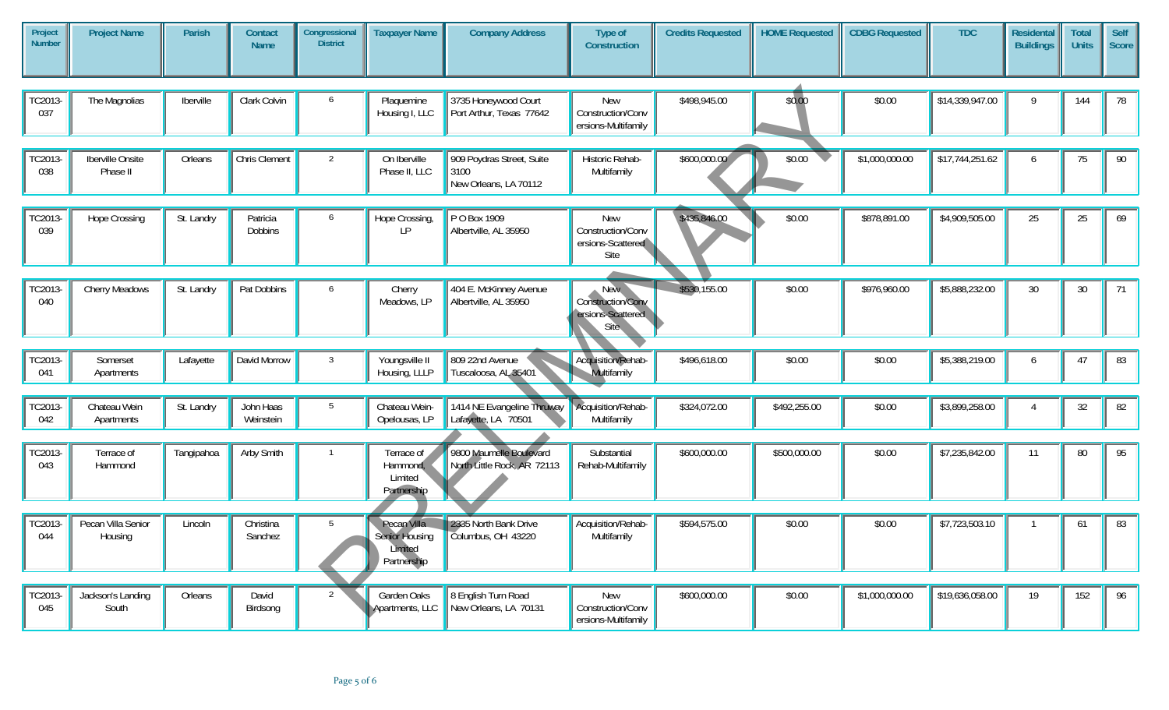| Project<br><b>Number</b> | <b>Project Name</b>           | Parish     | <b>Contact</b><br><b>Name</b> | Congressional<br><b>District</b> | <b>Taxpayer Name</b>                                           | <b>Company Address</b>                                     | Type of<br>Construction                                | <b>Credits Requested</b> | <b>HOME Requested</b> | <b>CDBG Requested</b> | <b>TDC</b>      | Residental<br><b>Buildings</b> | <b>Total</b><br><b>Units</b> | Self<br>Score |
|--------------------------|-------------------------------|------------|-------------------------------|----------------------------------|----------------------------------------------------------------|------------------------------------------------------------|--------------------------------------------------------|--------------------------|-----------------------|-----------------------|-----------------|--------------------------------|------------------------------|---------------|
|                          |                               |            |                               |                                  |                                                                |                                                            |                                                        |                          |                       |                       |                 |                                |                              |               |
| TC2013-<br>037           | The Magnolias                 | Iberville  | Clark Colvin                  | 6                                | Plaquemine<br>Housing I, LLC                                   | 3735 Honeywood Court<br>Port Arthur, Texas 77642           | New<br>Construction/Conv<br>ersions-Multifamily        | \$498,945.00             | \$0.00                | \$0.00                | \$14,339,947.00 | $\mathsf{Q}$                   | 144                          | 78            |
|                          |                               |            |                               |                                  |                                                                |                                                            |                                                        |                          |                       |                       |                 |                                |                              |               |
| <b>TC2013-</b><br>038    | Iberville Onsite<br>Phase II  | Orleans    | Chris Clement                 | 2                                | On Iberville<br>Phase II, LLC                                  | 909 Poydras Street, Suite<br>3100<br>New Orleans, LA 70112 | Historic Rehab-<br>Multifamily                         | \$600,000.00             | \$0.00                | \$1,000,000.00        | \$17,744,251.62 | 6                              | 75                           | 90            |
|                          |                               |            |                               |                                  |                                                                |                                                            |                                                        |                          |                       |                       |                 |                                |                              |               |
| TC2013-<br>039           | <b>Hope Crossing</b>          | St. Landry | Patricia<br><b>Dobbins</b>    | 6                                | Hope Crossing,<br>LP                                           | P O Box 1909<br>Albertville, AL 35950                      | New<br>Construction/Conv<br>ersions-Scattered<br>Site  | \$435,846.00             | \$0.00                | \$878,891.00          | \$4,909,505.00  | 25                             | 25                           | 69            |
|                          |                               |            |                               |                                  |                                                                |                                                            |                                                        |                          |                       |                       |                 |                                |                              |               |
| TC2013-<br>040           | Cherry Meadows                | St. Landry | Pat Dobbins                   | 6                                | Cherry<br>Meadows, LP                                          | 404 E. McKinney Avenue<br>Albertville, AL 35950            | New.<br>Construction/Conv<br>ersions-Scattered<br>Site | \$530,155.00             | \$0.00                | \$976,960.00          | \$5,888,232.00  | 30                             | 30                           | 71            |
|                          |                               |            |                               |                                  |                                                                |                                                            |                                                        |                          |                       |                       |                 |                                |                              |               |
| TC2013-<br>041           | Somerset<br>Apartments        | Lafayette  | David Morrow                  | $\overline{3}$                   | Youngsville II<br>Housing, LLLP                                | 809 22nd Avenue<br>Tuscaloosa, AL 35401                    | Acquisition/Rehab-<br>Multifamily                      | \$496,618.00             | \$0.00                | \$0.00                | \$5,388,219.00  | 6                              | 47                           | 83            |
|                          |                               |            |                               |                                  |                                                                |                                                            |                                                        |                          |                       |                       |                 |                                |                              |               |
| TC2013-<br>042           | Chateau Wein<br>Apartments    | St. Landry | John Haas<br>Weinstein        | 5                                | Chateau Wein-<br>Opelousas, LP                                 | 1414 NE Evangeline Thruway<br>Lafayette, LA 70501          | Acquisition/Rehab-<br>Multifamily                      | \$324,072.00             | \$492,255.00          | \$0.00                | \$3,899,258.00  | 4                              | 32                           | 82            |
|                          |                               |            |                               |                                  |                                                                |                                                            |                                                        |                          |                       |                       |                 |                                |                              |               |
| TC2013-<br>043           | Terrace of<br>Hammond         | Tangipahoa | Arby Smith                    |                                  | Terrace of<br>Hammond,<br>Limited<br>Partnership               | 9800 Maumelle Boulevard<br>North Little Rock, AR 72113     | Substantial<br>Rehab-Multifamily                       | \$600,000.00             | \$500,000.00          | \$0.00                | \$7,235,842.00  | 11                             | 80                           | 95            |
|                          |                               |            |                               |                                  |                                                                |                                                            |                                                        |                          |                       |                       |                 |                                |                              |               |
| TC2013-<br>044           | Pecan Villa Senior<br>Housing | Lincoln    | Christina<br>Sanchez          | 5                                | Pecan Villa<br><b>Senior Housing</b><br>Limited<br>Partnership | 2335 North Bank Drive<br>Columbus, OH 43220                | Acquisition/Rehab-<br>Multifamily                      | \$594,575.00             | \$0.00                | \$0.00                | \$7,723,503.10  |                                | 61                           | 83            |
|                          |                               |            |                               |                                  |                                                                |                                                            |                                                        |                          |                       |                       |                 |                                |                              |               |
| TC2013-<br>045           | Jackson's Landing<br>South    | Orleans    | David<br>Birdsong             | 2                                | Garden Oaks<br>Apartments, LLC                                 | 8 English Turn Road<br>New Orleans, LA 70131               | New<br>Construction/Conv<br>ersions-Multifamily        | \$600,000.00             | \$0.00                | \$1,000,000.00        | \$19,636,058.00 | 19                             | 152                          | 96            |